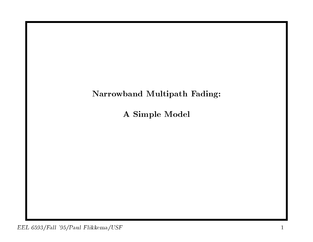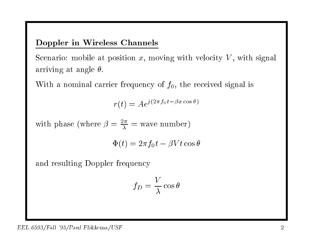### Doppler in Wireless Channels

Scenario: mobile at position  $x$ , moving with velocity  $V$ , with signal arriving at angle  $\theta$ .

With a nominal carrier frequency of  $f_0$ , the received signal is

er frequency of 
$$
f_0
$$
, the re
$$
r(t) = Ae^{j(2\pi f_0 t - \beta x \cos \theta)}
$$

 $r(t) = Ae^{j(2\pi f_0 t - \beta x \cos t)}$ <br>with phase (where  $\beta = \frac{2\pi}{\lambda}$  = wave number)

$$
= \frac{2\pi}{\lambda} = \text{wave number}
$$

$$
\Phi(t) = 2\pi f_0 t - \beta V t \cos \theta
$$

and resulting Doppler frequency

$$
f_D = \frac{V}{\lambda} \cos \theta
$$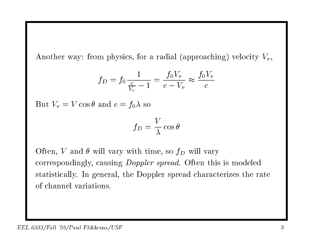Another way: from physics, for a radial (approaching) velocity  $V_r$ ,

m physics, for a radial (approac)  
\n
$$
f_D = f_0 \frac{1}{\frac{c}{V_r} - 1} = \frac{f_0 V_r}{c - V_r} \approx \frac{f_0 V_r}{c}
$$

But  $V_r = V \cos \theta$  and  $c = f_0 \lambda$  so

$$
f_D = \frac{V}{\lambda} \cos \theta
$$

Often, V and  $\theta$  will vary with time, so  $f_D$  will vary correspondingly, causing Doppler spread. Often this is modeled statistically. In general, the Doppler spread characterizes the rate of channel variations.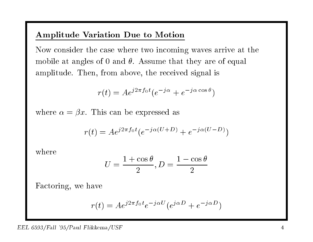## Amplitude Variation Due to Motion

Now consider the case where two incoming waves arrive at the Now consider the case where two incoming waves arrive at mobile at angles of 0 and  $\theta$ . Assume that they are of equal amplitude. Then, from above, the received signal is

, from above, the received signal

\n
$$
r(t) = A e^{j2\pi f_0 t} (e^{-j\alpha} + e^{-j\alpha \cos \theta})
$$

 $r(t) = Ae^{j2\pi f_0 t} (e^{-j\alpha} +$ <br>where  $\alpha = \beta x$ . This can be expressed as

$$
r.
$$
 This can be expressed as  

$$
r(t) = Ae^{j2\pi f_0 t} (e^{-j\alpha(U+D)} + e^{-j\alpha(U-D)})
$$

where

$$
U = \frac{1 + \cos \theta}{2}, D = \frac{1 - \cos \theta}{2}
$$

Factoring, we have

$$
ave
$$

$$
r(t) = Ae^{j2\pi f_0 t}e^{-j\alpha U}(e^{j\alpha D} + e^{-j\alpha D})
$$

#### EEL 6593/Fall '95/Paul Flikkema/USF <sup>4</sup>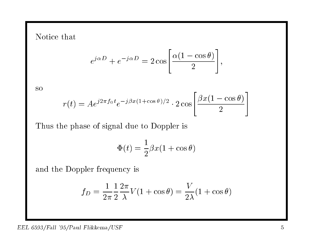Notice that

$$
e^{j\alpha D} + e^{-j\alpha D} = 2 \cos \left[ \frac{\alpha (1 - \cos \theta)}{2} \right],
$$

so

$$
r(t) = Ae^{j2\pi f_0 t}e^{-j\beta x(1+\cos\theta)/2} \cdot 2\cos\left[\frac{\beta x(1-\cos\theta)}{2}\right]
$$

Thus the <sup>p</sup>hase of signal due to Doppler is

and the top  
\n
$$
\Phi(t) = \frac{1}{2}\beta x (1 + \cos \theta)
$$

and the Doppler frequency is

$$
\text{pler frequency is}
$$
\n
$$
f_D = \frac{1}{2\pi} \frac{1}{2} \frac{2\pi}{\lambda} V(1 + \cos \theta) = \frac{V}{2\lambda} (1 + \cos \theta)
$$

### $EEL 6593/Fall '95/Paul Flikkema/USF$  5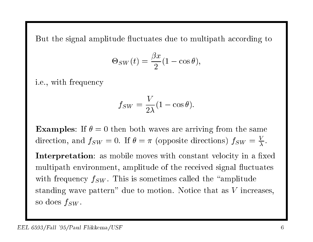But the signal amplitude fluctuates due to multipath according to

$$
\begin{aligned} \text{ude fluctuates due to mu} \\ \Theta_{SW}(t) = \frac{\beta x}{2} (1 - \cos \theta), \end{aligned}
$$

i.e., with frequency

$$
f_{SW} = \frac{V}{2\lambda}(1 - \cos\theta).
$$

Examples: If  $\theta = 0$  then both waves are arriving from the same<br>direction and  $f_{\text{cur}} = 0$  If  $\theta = \pi$  (opposite directions)  $f_{\text{cur}} = \frac{V}{\pi}$ **Examples:** If  $\theta = 0$  then both waves are arriving from the same direction, and  $f_{SW} = 0$ . If  $\theta = \pi$  (opposite directions)  $f_{SW} = \frac{V}{\lambda}$ .

direction, and  $f_{SW} = 0$ . If  $\theta = \pi$  (opposite directions)  $f_{SW} = \frac{1}{\lambda}$ .<br>Interpretation: as mobile moves with constant velocity in a fixed multipath environment, amplitude of the received signal fluctuates multipath environment, amplitude of the received signal fluctuation frequency  $f_{SW}$ . This is sometimes called the "amplitude" manpaan<br>with frequer<br>standing wa ncy  $f_{SW}$ . This is sometimes called the "amplitude" ve pattern" due to motion. Notice that as  $V$  increases, so does  $f_{SW}$ .  $\frac{1}{5}$  wav $f_{SW}.$